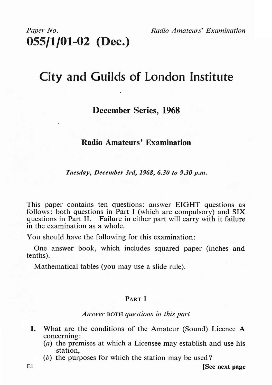# *Paper No. Radio Amateurs' Examination*  **055/1/01-02 (Dec.)**

# **City and Guilds of London Institute**

# **December Series, 1968**

## **Radio Amateurs' Examination**

*Tuesday, December 3rd, 1968, 6.30 to 9.30 p.m.* 

This paper contains ten questions: answer EIGHT questions as follows: both questions in Part I (which are compulsory) and SIX questions in Part II. Failure in either part will carry with it failure in the examination as a whole.

You should have the following for this examination:

One answer book, which includes squared paper (inches and tenths).

Mathematical tables (you may use a slide rule).

#### **PART** I

#### *Answer* BOTH *questions in this part*

- **1.** What are the conditions of the Amateur (Sound) Licence A concerning:
	- (a) the premises at which a Licensee may establish and use his station,
	- (b) the purposes for which the station may be used?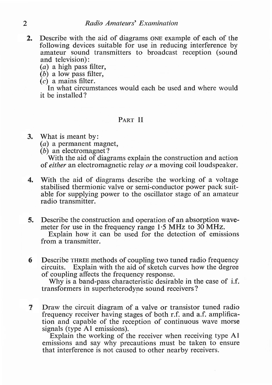- **2.** Describe with the aid of diagrams ONE example of each of the following devices suitable for use in reducing interference by amateur sound transmitters to broadcast reception (sound and television):
	- (a) a high pass filter,
	- (b) a low pass filter,
	- (c) a mains filter.

In what circumstances would each be used and where would it be installed?

### **PART** II

**3.** What is meant by:

- $(a)$  a permanent magnet.
- $(b)$  an electromagnet?

With the aid of diagrams explain the construction and action of *either* an electromagnetic relay *or* a moving coil loudspeaker.

- **4.** With the aid of diagrams describe the working of a voltage stabilised thermionic valve or semi-conductor power pack suitable for supplying power to the oscillator stage of an amateur radio transmitter.
- **5.** Describe the construction and operation of an absorption wavemeter for use in the frequency range  $1.5$  MHz to  $30$  MHz. Explain how it can be used for the detection of emissions from a transmitter.
- **6** Describe THREE methods of coupling two tuned radio frequency circuits. Explain with the aid of sketch curves how the degree of coupling affects the frequency response.

Why is a band-pass characteristic desirable in the case of i.f. transformers in superheterodyne sound receivers?

7 Draw the circuit diagram of a valve or transistor tuned radio frequency receiver having stages of both r.f. and a.f. amplification and capable of the reception of continuous wave morse signals (type Al emissions).

Explain the working of the receiver when receiving type Al emissions and say why precautions must be taken to ensure that interference is not caused to other nearby receivers.